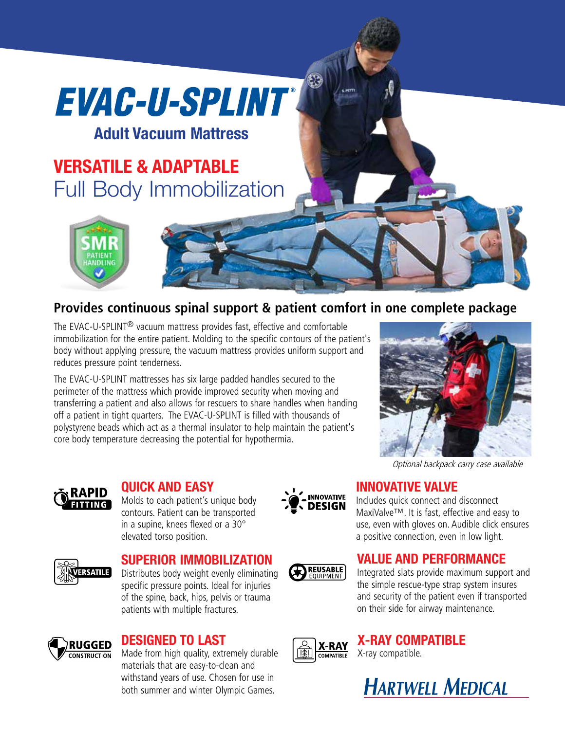# EVAC-U-SPLINT®

### **Adult Vacuum Mattress**

## **VERSATILE & ADAPTABLE** Full Body Immobilization



#### **Provides continuous spinal support & patient comfort in one complete package**

 $\left( 3\right)$ 

The EVAC-U-SPLINT® vacuum mattress provides fast, effective and comfortable immobilization for the entire patient. Molding to the specific contours of the patient's body without applying pressure, the vacuum mattress provides uniform support and reduces pressure point tenderness.

The EVAC-U-SPLINT mattresses has six large padded handles secured to the perimeter of the mattress which provide improved security when moving and transferring a patient and also allows for rescuers to share handles when handing off a patient in tight quarters. The EVAC-U-SPLINT is filled with thousands of polystyrene beads which act as a thermal insulator to help maintain the patient's core body temperature decreasing the potential for hypothermia.





#### **QUICK AND EASY**

Molds to each patient's unique body contours. Patient can be transported in a supine, knees flexed or a 30° elevated torso position.





#### **SUPERIOR IMMOBILIZATION**

Distributes body weight evenly eliminating specific pressure points. Ideal for injuries of the spine, back, hips, pelvis or trauma patients with multiple fractures.



#### **DESIGNED TO LAST**

Made from high quality, extremely durable materials that are easy-to-clean and withstand years of use. Chosen for use in both summer and winter Olympic Games.



#### **VALUE AND PERFORMANCE**

Integrated slats provide maximum support and the simple rescue-type strap system insures and security of the patient even if transported on their side for airway maintenance.



### **X-RAY COMPATIBLE**

X-ray compatible.





Includes quick connect and disconnect MaxiValve™. It is fast, effective and easy to use, even with gloves on. Audible click ensures a positive connection, even in low light.